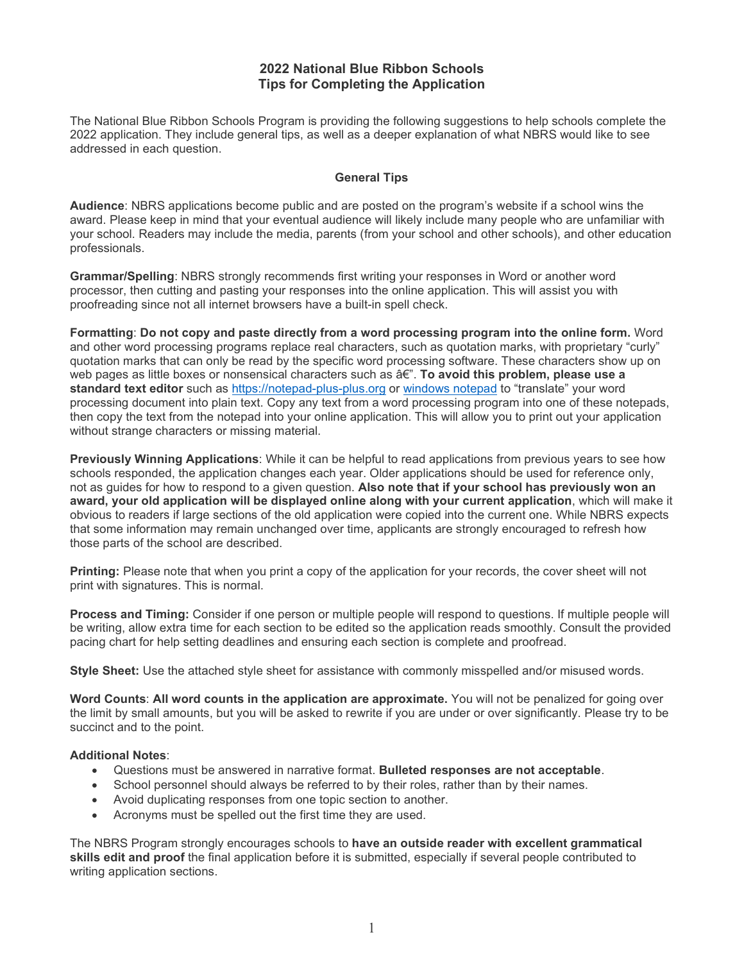## **2022 National Blue Ribbon Schools Tips for Completing the Application**

The National Blue Ribbon Schools Program is providing the following suggestions to help schools complete the 2022 application. They include general tips, as well as a deeper explanation of what NBRS would like to see addressed in each question.

#### **General Tips**

**Audience**: NBRS applications become public and are posted on the program's website if a school wins the award. Please keep in mind that your eventual audience will likely include many people who are unfamiliar with your school. Readers may include the media, parents (from your school and other schools), and other education professionals.

**Grammar/Spelling**: NBRS strongly recommends first writing your responses in Word or another word processor, then cutting and pasting your responses into the online application. This will assist you with proofreading since not all internet browsers have a built-in spell check.

**Formatting**: **Do not copy and paste directly from a word processing program into the online form.** Word and other word processing programs replace real characters, such as quotation marks, with proprietary "curly" quotation marks that can only be read by the specific word processing software. These characters show up on web pages as little boxes or nonsensical characters such as  $\hat{a}\hat{\epsilon}$ . **To avoid this problem, please use a standard text editor** such as [https://notepad-plus-plus.org](https://notepad-plus-plus.org/) or [windows notepad](https://www.microsoft.com/en-us/store/p/notepad-classic/9wzdncrfj324) to "translate" your word processing document into plain text. Copy any text from a word processing program into one of these notepads, then copy the text from the notepad into your online application. This will allow you to print out your application without strange characters or missing material.

**Previously Winning Applications**: While it can be helpful to read applications from previous years to see how schools responded, the application changes each year. Older applications should be used for reference only, not as guides for how to respond to a given question. **Also note that if your school has previously won an award, your old application will be displayed online along with your current application**, which will make it obvious to readers if large sections of the old application were copied into the current one. While NBRS expects that some information may remain unchanged over time, applicants are strongly encouraged to refresh how those parts of the school are described.

**Printing:** Please note that when you print a copy of the application for your records, the cover sheet will not print with signatures. This is normal.

**Process and Timing:** Consider if one person or multiple people will respond to questions. If multiple people will be writing, allow extra time for each section to be edited so the application reads smoothly. Consult the provided pacing chart for help setting deadlines and ensuring each section is complete and proofread.

**Style Sheet:** Use the attached style sheet for assistance with commonly misspelled and/or misused words.

**Word Counts**: **All word counts in the application are approximate.** You will not be penalized for going over the limit by small amounts, but you will be asked to rewrite if you are under or over significantly. Please try to be succinct and to the point.

#### **Additional Notes**:

- Questions must be answered in narrative format. **Bulleted responses are not acceptable**.
- School personnel should always be referred to by their roles, rather than by their names.
- Avoid duplicating responses from one topic section to another.
- Acronyms must be spelled out the first time they are used.

The NBRS Program strongly encourages schools to **have an outside reader with excellent grammatical skills edit and proof** the final application before it is submitted, especially if several people contributed to writing application sections.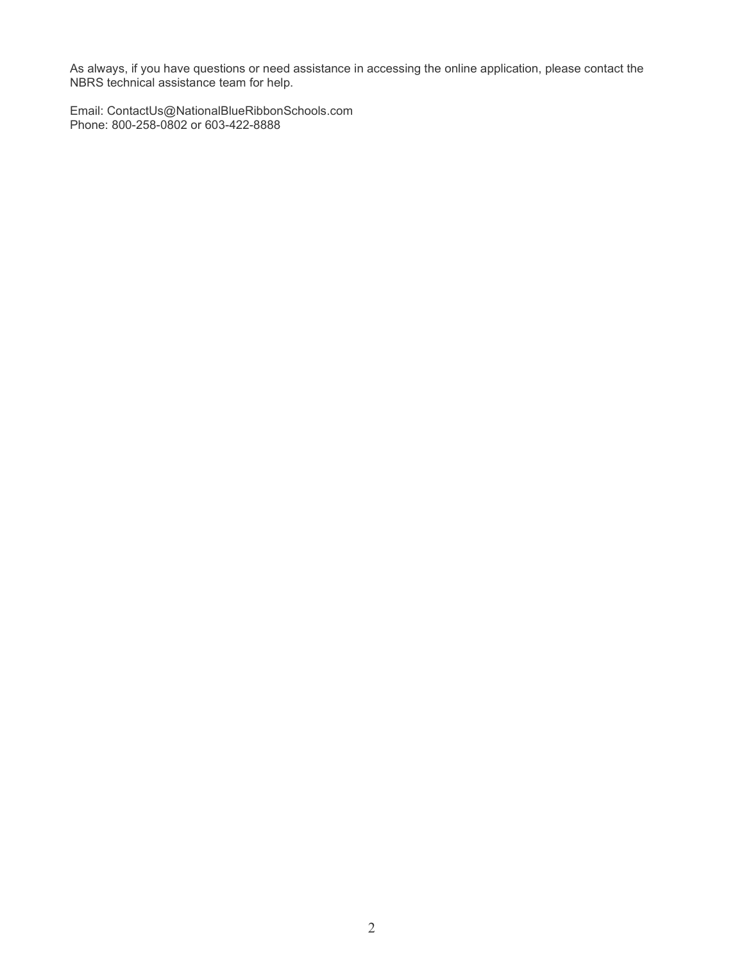As always, if you have questions or need assistance in accessing the online application, please contact the NBRS technical assistance team for help.

Email: ContactUs@NationalBlueRibbonSchools.com Phone: 800-258-0802 or 603-422-8888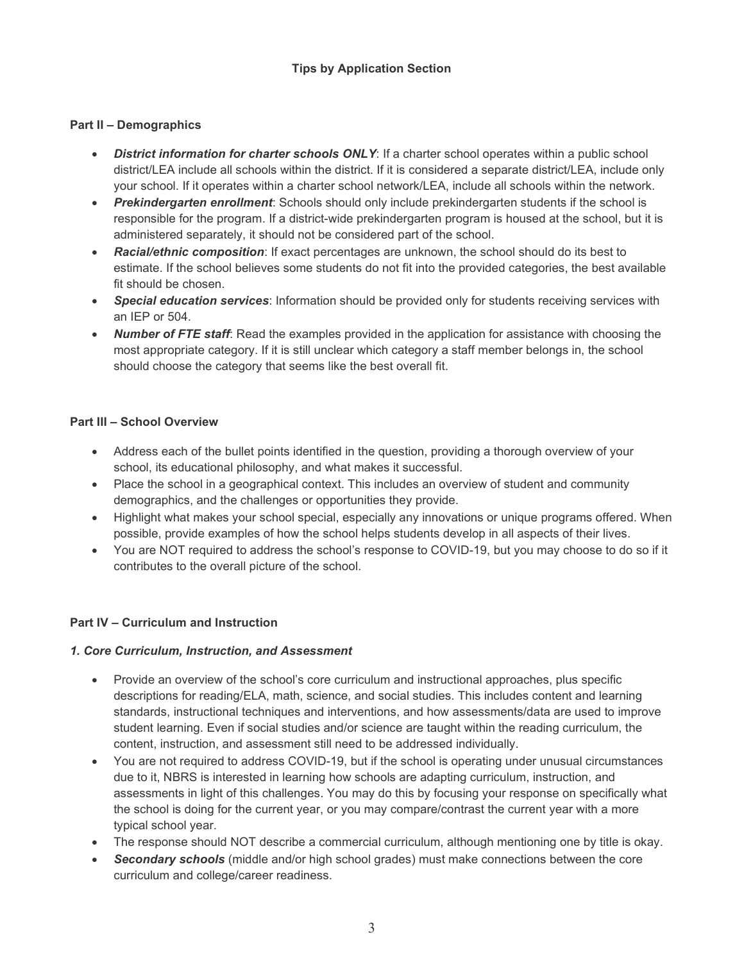# **Tips by Application Section**

#### **Part II – Demographics**

- *District information for charter schools ONLY*: If a charter school operates within a public school district/LEA include all schools within the district. If it is considered a separate district/LEA, include only your school. If it operates within a charter school network/LEA, include all schools within the network.
- *Prekindergarten enrollment*: Schools should only include prekindergarten students if the school is responsible for the program. If a district-wide prekindergarten program is housed at the school, but it is administered separately, it should not be considered part of the school.
- *Racial/ethnic composition*: If exact percentages are unknown, the school should do its best to estimate. If the school believes some students do not fit into the provided categories, the best available fit should be chosen.
- *Special education services*: Information should be provided only for students receiving services with an IEP or 504.
- *Number of FTE staff*: Read the examples provided in the application for assistance with choosing the most appropriate category. If it is still unclear which category a staff member belongs in, the school should choose the category that seems like the best overall fit.

#### **Part III – School Overview**

- Address each of the bullet points identified in the question, providing a thorough overview of your school, its educational philosophy, and what makes it successful.
- Place the school in a geographical context. This includes an overview of student and community demographics, and the challenges or opportunities they provide.
- Highlight what makes your school special, especially any innovations or unique programs offered. When possible, provide examples of how the school helps students develop in all aspects of their lives.
- You are NOT required to address the school's response to COVID-19, but you may choose to do so if it contributes to the overall picture of the school.

### **Part IV – Curriculum and Instruction**

#### *1. Core Curriculum, Instruction, and Assessment*

- Provide an overview of the school's core curriculum and instructional approaches, plus specific descriptions for reading/ELA, math, science, and social studies. This includes content and learning standards, instructional techniques and interventions, and how assessments/data are used to improve student learning. Even if social studies and/or science are taught within the reading curriculum, the content, instruction, and assessment still need to be addressed individually.
- You are not required to address COVID-19, but if the school is operating under unusual circumstances due to it, NBRS is interested in learning how schools are adapting curriculum, instruction, and assessments in light of this challenges. You may do this by focusing your response on specifically what the school is doing for the current year, or you may compare/contrast the current year with a more typical school year.
- The response should NOT describe a commercial curriculum, although mentioning one by title is okay.
- *Secondary schools* (middle and/or high school grades) must make connections between the core curriculum and college/career readiness.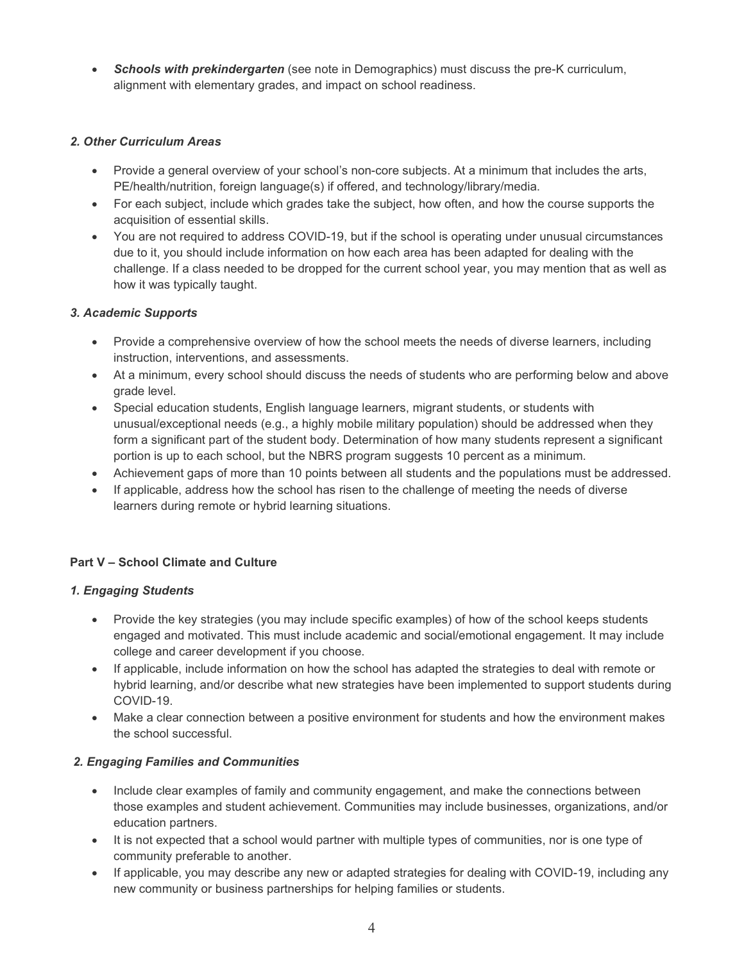• *Schools with prekindergarten* (see note in Demographics) must discuss the pre-K curriculum, alignment with elementary grades, and impact on school readiness.

# *2. Other Curriculum Areas*

- Provide a general overview of your school's non-core subjects. At a minimum that includes the arts, PE/health/nutrition, foreign language(s) if offered, and technology/library/media.
- For each subject, include which grades take the subject, how often, and how the course supports the acquisition of essential skills.
- You are not required to address COVID-19, but if the school is operating under unusual circumstances due to it, you should include information on how each area has been adapted for dealing with the challenge. If a class needed to be dropped for the current school year, you may mention that as well as how it was typically taught.

### *3. Academic Supports*

- Provide a comprehensive overview of how the school meets the needs of diverse learners, including instruction, interventions, and assessments.
- At a minimum, every school should discuss the needs of students who are performing below and above grade level.
- Special education students, English language learners, migrant students, or students with unusual/exceptional needs (e.g., a highly mobile military population) should be addressed when they form a significant part of the student body. Determination of how many students represent a significant portion is up to each school, but the NBRS program suggests 10 percent as a minimum.
- Achievement gaps of more than 10 points between all students and the populations must be addressed.
- If applicable, address how the school has risen to the challenge of meeting the needs of diverse learners during remote or hybrid learning situations.

### **Part V – School Climate and Culture**

### *1. Engaging Students*

- Provide the key strategies (you may include specific examples) of how of the school keeps students engaged and motivated. This must include academic and social/emotional engagement. It may include college and career development if you choose.
- If applicable, include information on how the school has adapted the strategies to deal with remote or hybrid learning, and/or describe what new strategies have been implemented to support students during COVID-19.
- Make a clear connection between a positive environment for students and how the environment makes the school successful.

### *2. Engaging Families and Communities*

- Include clear examples of family and community engagement, and make the connections between those examples and student achievement. Communities may include businesses, organizations, and/or education partners.
- It is not expected that a school would partner with multiple types of communities, nor is one type of community preferable to another.
- If applicable, you may describe any new or adapted strategies for dealing with COVID-19, including any new community or business partnerships for helping families or students.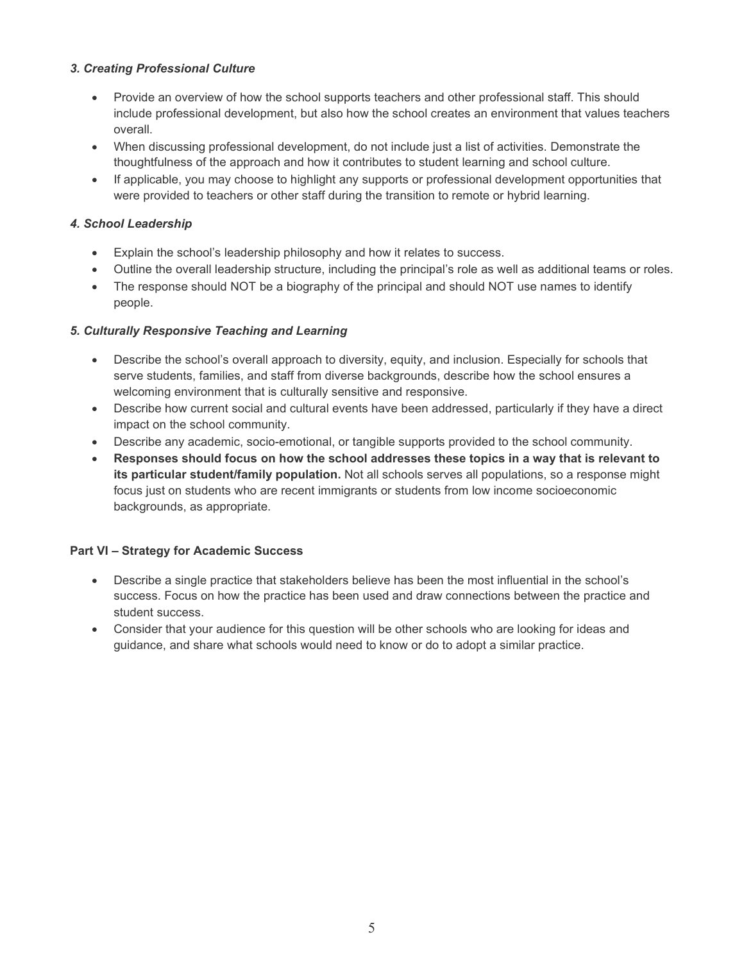# *3. Creating Professional Culture*

- Provide an overview of how the school supports teachers and other professional staff. This should include professional development, but also how the school creates an environment that values teachers overall.
- When discussing professional development, do not include just a list of activities. Demonstrate the thoughtfulness of the approach and how it contributes to student learning and school culture.
- If applicable, you may choose to highlight any supports or professional development opportunities that were provided to teachers or other staff during the transition to remote or hybrid learning.

# *4. School Leadership*

- Explain the school's leadership philosophy and how it relates to success.
- Outline the overall leadership structure, including the principal's role as well as additional teams or roles.
- The response should NOT be a biography of the principal and should NOT use names to identify people.

# *5. Culturally Responsive Teaching and Learning*

- Describe the school's overall approach to diversity, equity, and inclusion. Especially for schools that serve students, families, and staff from diverse backgrounds, describe how the school ensures a welcoming environment that is culturally sensitive and responsive.
- Describe how current social and cultural events have been addressed, particularly if they have a direct impact on the school community.
- Describe any academic, socio-emotional, or tangible supports provided to the school community.
- **Responses should focus on how the school addresses these topics in a way that is relevant to its particular student/family population.** Not all schools serves all populations, so a response might focus just on students who are recent immigrants or students from low income socioeconomic backgrounds, as appropriate.

### **Part VI – Strategy for Academic Success**

- Describe a single practice that stakeholders believe has been the most influential in the school's success. Focus on how the practice has been used and draw connections between the practice and student success.
- Consider that your audience for this question will be other schools who are looking for ideas and guidance, and share what schools would need to know or do to adopt a similar practice.